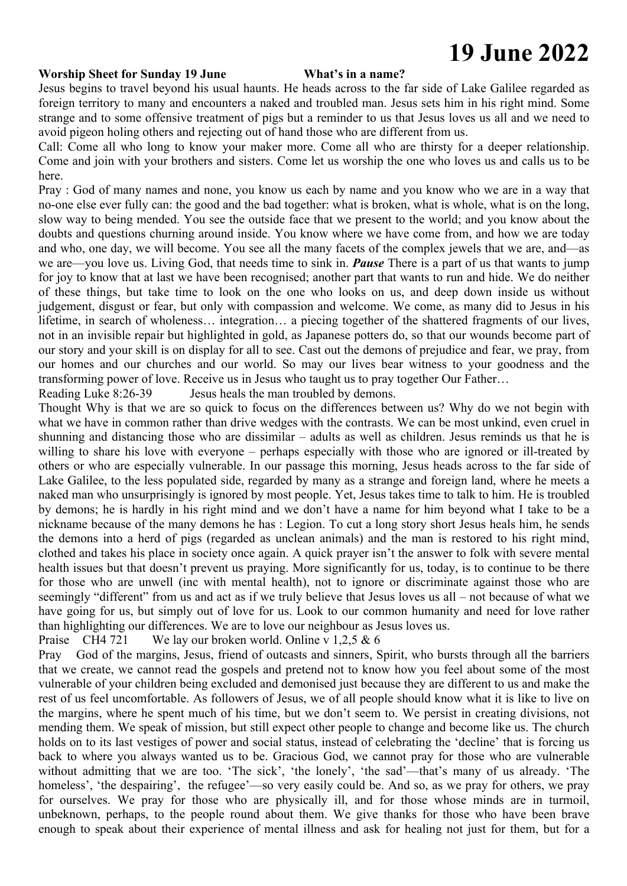# **19 June 2022**

### **Worship Sheet for Sunday 19 June What's in a name?**

Jesus begins to travel beyond his usual haunts. He heads across to the far side of Lake Galilee regarded as foreign territory to many and encounters a naked and troubled man. Jesus sets him in his right mind. Some strange and to some offensive treatment of pigs but a reminder to us that Jesus loves us all and we need to avoid pigeon holing others and rejecting out of hand those who are different from us.

Call: Come all who long to know your maker more. Come all who are thirsty for a deeper relationship. Come and join with your brothers and sisters. Come let us worship the one who loves us and calls us to be here.

Pray : God of many names and none, you know us each by name and you know who we are in a way that no-one else ever fully can: the good and the bad together: what is broken, what is whole, what is on the long, slow way to being mended. You see the outside face that we present to the world; and you know about the doubts and questions churning around inside. You know where we have come from, and how we are today and who, one day, we will become. You see all the many facets of the complex jewels that we are, and—as we are—you love us. Living God, that needs time to sink in. *Pause* There is a part of us that wants to jump for joy to know that at last we have been recognised; another part that wants to run and hide. We do neither of these things, but take time to look on the one who looks on us, and deep down inside us without judgement, disgust or fear, but only with compassion and welcome. We come, as many did to Jesus in his lifetime, in search of wholeness… integration… a piecing together of the shattered fragments of our lives, not in an invisible repair but highlighted in gold, as Japanese potters do, so that our wounds become part of our story and your skill is on display for all to see. Cast out the demons of prejudice and fear, we pray, from our homes and our churches and our world. So may our lives bear witness to your goodness and the transforming power of love. Receive us in Jesus who taught us to pray together Our Father…

Reading Luke 8:26-39 Jesus heals the man troubled by demons.

Thought Why is that we are so quick to focus on the differences between us? Why do we not begin with what we have in common rather than drive wedges with the contrasts. We can be most unkind, even cruel in shunning and distancing those who are dissimilar – adults as well as children. Jesus reminds us that he is willing to share his love with everyone – perhaps especially with those who are ignored or ill-treated by others or who are especially vulnerable. In our passage this morning, Jesus heads across to the far side of Lake Galilee, to the less populated side, regarded by many as a strange and foreign land, where he meets a naked man who unsurprisingly is ignored by most people. Yet, Jesus takes time to talk to him. He is troubled by demons; he is hardly in his right mind and we don't have a name for him beyond what I take to be a nickname because of the many demons he has : Legion. To cut a long story short Jesus heals him, he sends the demons into a herd of pigs (regarded as unclean animals) and the man is restored to his right mind, clothed and takes his place in society once again. A quick prayer isn't the answer to folk with severe mental health issues but that doesn't prevent us praying. More significantly for us, today, is to continue to be there for those who are unwell (inc with mental health), not to ignore or discriminate against those who are seemingly "different" from us and act as if we truly believe that Jesus loves us all – not because of what we have going for us, but simply out of love for us. Look to our common humanity and need for love rather than highlighting our differences. We are to love our neighbour as Jesus loves us.

Praise CH4 721 We lay our broken world. Online v 1,2,5 & 6

Pray God of the margins, Jesus, friend of outcasts and sinners, Spirit, who bursts through all the barriers that we create, we cannot read the gospels and pretend not to know how you feel about some of the most vulnerable of your children being excluded and demonised just because they are different to us and make the rest of us feel uncomfortable. As followers of Jesus, we of all people should know what it is like to live on the margins, where he spent much of his time, but we don't seem to. We persist in creating divisions, not mending them. We speak of mission, but still expect other people to change and become like us. The church holds on to its last vestiges of power and social status, instead of celebrating the 'decline' that is forcing us back to where you always wanted us to be. Gracious God, we cannot pray for those who are vulnerable without admitting that we are too. 'The sick', 'the lonely', 'the sad'—that's many of us already. 'The homeless', 'the despairing', the refugee'—so very easily could be. And so, as we pray for others, we pray for ourselves. We pray for those who are physically ill, and for those whose minds are in turmoil, unbeknown, perhaps, to the people round about them. We give thanks for those who have been brave enough to speak about their experience of mental illness and ask for healing not just for them, but for a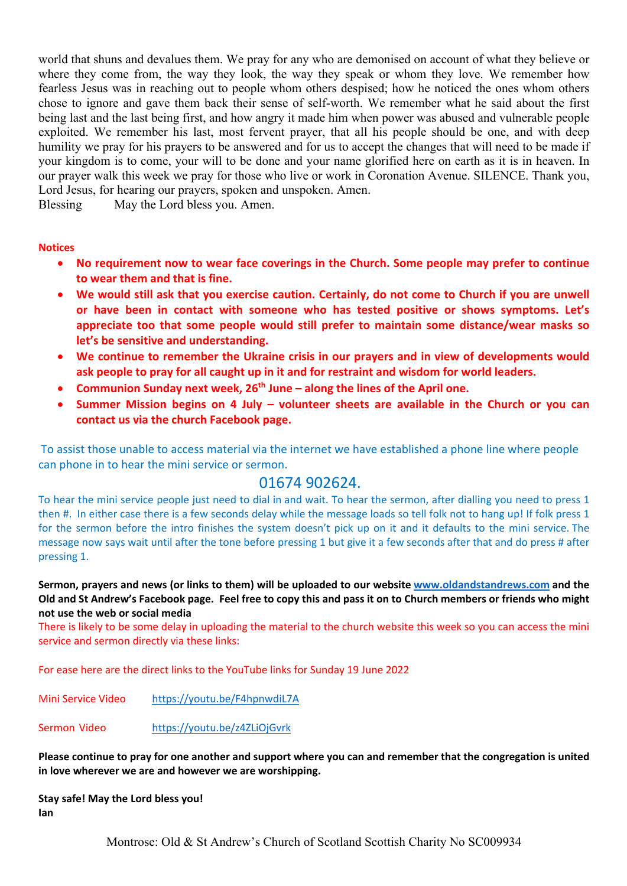world that shuns and devalues them. We pray for any who are demonised on account of what they believe or where they come from, the way they look, the way they speak or whom they love. We remember how fearless Jesus was in reaching out to people whom others despised; how he noticed the ones whom others chose to ignore and gave them back their sense of self-worth. We remember what he said about the first being last and the last being first, and how angry it made him when power was abused and vulnerable people exploited. We remember his last, most fervent prayer, that all his people should be one, and with deep humility we pray for his prayers to be answered and for us to accept the changes that will need to be made if your kingdom is to come, your will to be done and your name glorified here on earth as it is in heaven. In our prayer walk this week we pray for those who live or work in Coronation Avenue. SILENCE. Thank you, Lord Jesus, for hearing our prayers, spoken and unspoken. Amen.

Blessing May the Lord bless you. Amen.

### **Notices**

- **No requirement now to wear face coverings in the Church. Some people may prefer to continue to wear them and that is fine.**
- **We would still ask that you exercise caution. Certainly, do not come to Church if you are unwell or have been in contact with someone who has tested positive or shows symptoms. Let's appreciate too that some people would still prefer to maintain some distance/wear masks so let's be sensitive and understanding.**
- **We continue to remember the Ukraine crisis in our prayers and in view of developments would ask people to pray for all caught up in it and for restraint and wisdom for world leaders.**
- **Communion Sunday next week, 26th June – along the lines of the April one.**
- **Summer Mission begins on 4 July – volunteer sheets are available in the Church or you can contact us via the church Facebook page.**

To assist those unable to access material via the internet we have established a phone line where people can phone in to hear the mini service or sermon. 

## 01674 902624.

To hear the mini service people just need to dial in and wait. To hear the sermon, after dialling you need to press 1 then #. In either case there is a few seconds delay while the message loads so tell folk not to hang up! If folk press 1 for the sermon before the intro finishes the system doesn't pick up on it and it defaults to the mini service. The message now says wait until after the tone before pressing 1 but give it a few seconds after that and do press # after pressing 1.

**Sermon, prayers and news (or links to them) will be uploaded to our website www.oldandstandrews.com and the Old and St Andrew's Facebook page.  Feel free to copy this and pass it on to Church members or friends who might not use the web or social media**

There is likely to be some delay in uploading the material to the church website this week so you can access the mini service and sermon directly via these links:

For ease here are the direct links to the YouTube links for Sunday 19 June 2022

Mini Service Video https://youtu.be/F4hpnwdiL7A

Sermon Video https://youtu.be/z4ZLiOjGvrk

**Please continue to pray for one another and support where you can and remember that the congregation is united in love wherever we are and however we are worshipping.**

**Stay safe! May the Lord bless you! Ian**